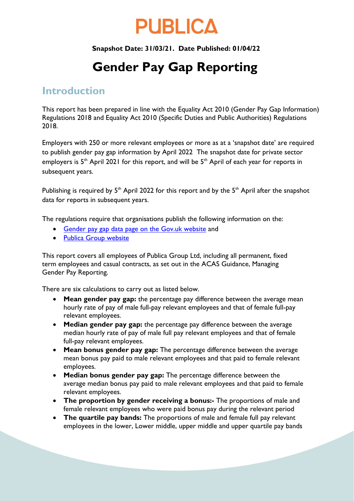# **PUBLICA**

#### **Snapshot Date: 31/03/21. Date Published: 01/04/22**

## **Gender Pay Gap Reporting**

## **Introduction**

This report has been prepared in line with the Equality Act 2010 (Gender Pay Gap Information) Regulations 2018 and Equality Act 2010 (Specific Duties and Public Authorities) Regulations 2018.

Employers with 250 or more relevant employees or more as at a 'snapshot date' are required to publish gender pay gap information by April 2022 The snapshot date for private sector employers is  $5<sup>th</sup>$  April 2021 for this report, and will be  $5<sup>th</sup>$  April of each year for reports in subsequent years.

Publishing is required by  $5<sup>th</sup>$  April 2022 for this report and by the  $5<sup>th</sup>$  April after the snapshot data for reports in subsequent years.

The regulations require that organisations publish the following information on the:

- [Gender pay gap data page on the Gov.uk website](https://gender-pay-gap.service.gov.uk/) and
- [Publica Group website](https://www.publicagroup.uk/)

This report covers all employees of Publica Group Ltd, including all permanent, fixed term employees and casual contracts, as set out in the ACAS Guidance, Managing Gender Pay Reporting.

There are six calculations to carry out as listed below.

- **Mean gender pay gap:** the percentage pay difference between the average mean hourly rate of pay of male full-pay relevant employees and that of female full-pay relevant employees.
- **Median gender pay gap:** the percentage pay difference between the average median hourly rate of pay of male full pay relevant employees and that of female full-pay relevant employees.
- **Mean bonus gender pay gap:** The percentage difference between the average mean bonus pay paid to male relevant employees and that paid to female relevant employees.
- **Median bonus gender pay gap:** The percentage difference between the average median bonus pay paid to male relevant employees and that paid to female relevant employees.
- **The proportion by gender receiving a bonus:-** The proportions of male and female relevant employees who were paid bonus pay during the relevant period
- **The quartile pay bands:** The proportions of male and female full pay relevant employees in the lower, Lower middle, upper middle and upper quartile pay bands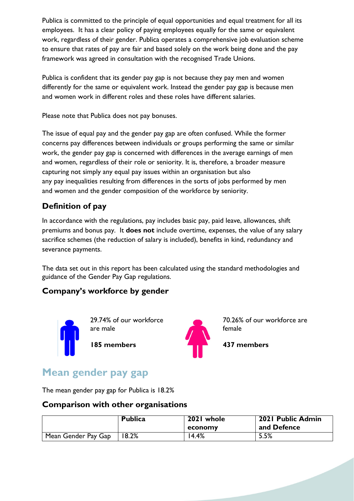Publica is committed to the principle of equal opportunities and equal treatment for all its employees. It has a clear policy of paying employees equally for the same or equivalent work, regardless of their gender. Publica operates a comprehensive job evaluation scheme to ensure that rates of pay are fair and based solely on the work being done and the pay framework was agreed in consultation with the recognised Trade Unions.

Publica is confident that its gender pay gap is not because they pay men and women differently for the same or equivalent work. Instead the gender pay gap is because men and women work in different roles and these roles have different salaries.

Please note that Publica does not pay bonuses.

The issue of equal pay and the gender pay gap are often confused. While the former concerns pay differences between individuals or groups performing the same or similar work, the gender pay gap is concerned with differences in the average earnings of men and women, regardless of their role or seniority. It is, therefore, a broader measure capturing not simply any equal pay issues within an organisation but also any pay inequalities resulting from differences in the sorts of jobs performed by men and women and the gender composition of the workforce by seniority.

## **Definition of pay**

In accordance with the regulations, pay includes basic pay, paid leave, allowances, shift premiums and bonus pay. It **does not** include overtime, expenses, the value of any salary sacrifice schemes (the reduction of salary is included), benefits in kind, redundancy and severance payments.

The data set out in this report has been calculated using the standard methodologies and guidance of the Gender Pay Gap regulations.

#### **Company's workforce by gender**



29.74% of our workforce are male

**185 members**



70.26% of our workforce are female

**437 members** 

## **Mean gender pay gap**

The mean gender pay gap for Publica is 18.2%

#### **Comparison with other organisations**

|                     | <b>Publica</b> | 2021 whole<br>economy | 2021 Public Admin<br>and Defence |
|---------------------|----------------|-----------------------|----------------------------------|
| Mean Gender Pay Gap | 8.2%           | 14.4%                 | 5.5%                             |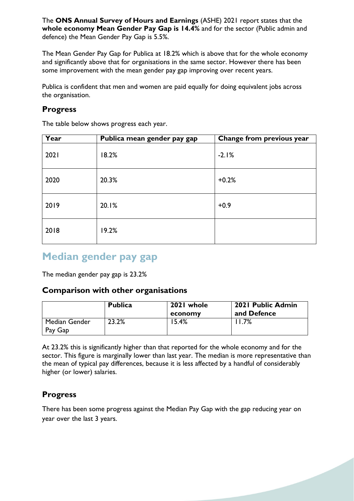The **ONS Annual Survey of Hours and Earnings** (ASHE) 2021 report states that the **whole economy Mean Gender Pay Gap is 14.4%** and for the sector (Public admin and defence) the Mean Gender Pay Gap is 5.5%.

The Mean Gender Pay Gap for Publica at 18.2% which is above that for the whole economy and significantly above that for organisations in the same sector. However there has been some improvement with the mean gender pay gap improving over recent years.

Publica is confident that men and women are paid equally for doing equivalent jobs across the organisation.

#### **Progress**

The table below shows progress each year.

| Year | Publica mean gender pay gap | Change from previous year |
|------|-----------------------------|---------------------------|
| 2021 | 18.2%                       | $-2.1%$                   |
| 2020 | 20.3%                       | $+0.2%$                   |
| 2019 | 20.1%                       | $+0.9$                    |
| 2018 | 19.2%                       |                           |

## **Median gender pay gap**

The median gender pay gap is 23.2%

#### **Comparison with other organisations**

|                          | <b>Publica</b> | 2021 whole<br>economy | 2021 Public Admin<br>and Defence |
|--------------------------|----------------|-----------------------|----------------------------------|
| Median Gender<br>Pay Gap | 23.2%          | $5.4\%$               | .7%                              |

At 23.2% this is significantly higher than that reported for the whole economy and for the sector. This figure is marginally lower than last year. The median is more representative than the mean of typical pay differences, because it is less affected by a handful of considerably higher (or lower) salaries.

#### **Progress**

There has been some progress against the Median Pay Gap with the gap reducing year on year over the last 3 years.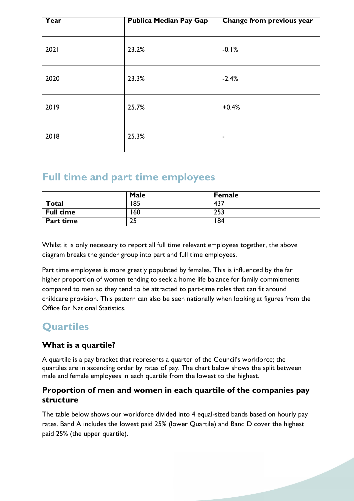| Year | <b>Publica Median Pay Gap</b> | Change from previous year |  |  |
|------|-------------------------------|---------------------------|--|--|
| 2021 | 23.2%                         | $-0.1%$                   |  |  |
| 2020 | 23.3%                         | $-2.4%$                   |  |  |
| 2019 | 25.7%                         | $+0.4%$                   |  |  |
| 2018 | 25.3%                         | $\overline{\phantom{a}}$  |  |  |

## **Full time and part time employees**

|                  | Male | <b>Female</b> |  |
|------------------|------|---------------|--|
| Total            | 85   | 437           |  |
| <b>Full time</b> | 60   | 253           |  |
| <b>Part time</b> | כג   | 84            |  |

Whilst it is only necessary to report all full time relevant employees together, the above diagram breaks the gender group into part and full time employees.

Part time employees is more greatly populated by females. This is influenced by the far higher proportion of women tending to seek a home life balance for family commitments compared to men so they tend to be attracted to part-time roles that can fit around childcare provision. This pattern can also be seen nationally when looking at figures from the Office for National Statistics.

## **Quartiles**

### **What is a quartile?**

A quartile is a pay bracket that represents a quarter of the Council's workforce; the quartiles are in ascending order by rates of pay. The chart below shows the split between male and female employees in each quartile from the lowest to the highest.

#### **Proportion of men and women in each quartile of the companies pay structure**

The table below shows our workforce divided into 4 equal-sized bands based on hourly pay rates. Band A includes the lowest paid 25% (lower Quartile) and Band D cover the highest paid 25% (the upper quartile).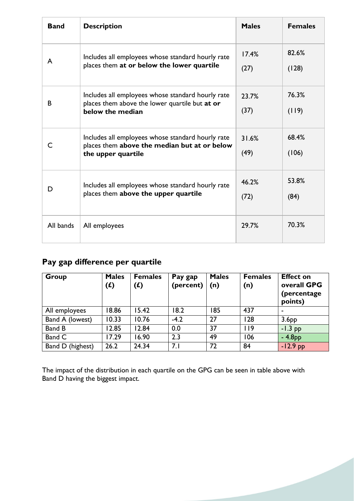| <b>Band</b> | <b>Description</b>                                                                                                      | <b>Males</b>  | <b>Females</b> |
|-------------|-------------------------------------------------------------------------------------------------------------------------|---------------|----------------|
| A           | Includes all employees whose standard hourly rate<br>places them at or below the lower quartile                         | 17.4%<br>(27) | 82.6%<br>(128) |
| B           | Includes all employees whose standard hourly rate<br>places them above the lower quartile but at or<br>below the median | 23.7%<br>(37) | 76.3%<br>(119) |
| C           | Includes all employees whose standard hourly rate<br>places them above the median but at or below<br>the upper quartile | 31.6%<br>(49) | 68.4%<br>(106) |
| D           | Includes all employees whose standard hourly rate<br>places them above the upper quartile                               | 46.2%<br>(72) | 53.8%<br>(84)  |
| All bands   | All employees                                                                                                           | 29.7%         | 70.3%          |

## **Pay gap difference per quartile**

| Group            | <b>Males</b><br>$\mathbf f($ | <b>Females</b><br>(f) | Pay gap<br>(percent) | <b>Males</b><br>(n) | <b>Females</b><br>(n) | <b>Effect on</b><br>overall GPG<br>(percentage)<br>points) |
|------------------|------------------------------|-----------------------|----------------------|---------------------|-----------------------|------------------------------------------------------------|
| All employees    | 18.86                        | 15.42                 | 18.2                 | 185                 | 437                   | $\overline{\phantom{0}}$                                   |
| Band A (lowest)  | 10.33                        | 10.76                 | $-4.2$               | 27                  | 128                   | 3.6 <sub>PP</sub>                                          |
| Band B           | 12.85                        | 12.84                 | 0.0                  | 37                  | 119                   | $-1.3$ pp                                                  |
| Band C           | 17.29                        | 16.90                 | 2.3                  | 49                  | 106                   | $-4.8PP$                                                   |
| Band D (highest) | 26.2                         | 24.34                 | 7.1                  | 72                  | 84                    | $-12.9$ pp                                                 |

The impact of the distribution in each quartile on the GPG can be seen in table above with Band D having the biggest impact.